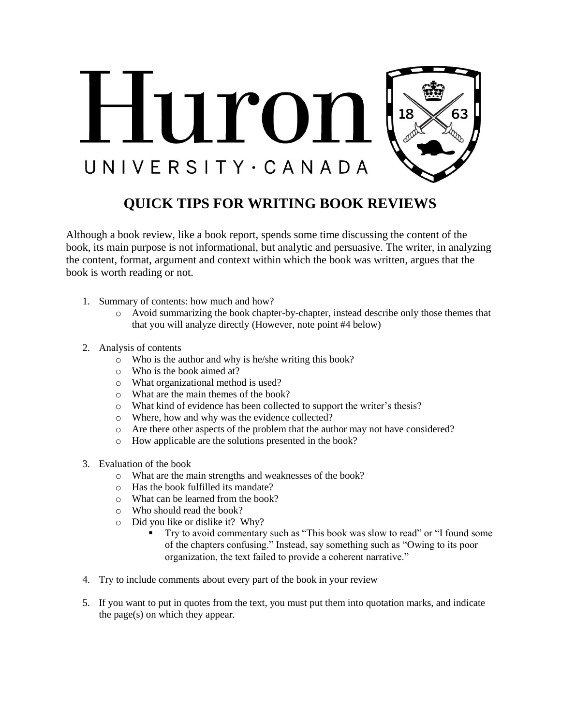

## **QUICK TIPS FOR WRITING BOOK REVIEWS**

Although a book review, like a book report, spends some time discussing the content of the book, its main purpose is not informational, but analytic and persuasive. The writer, in analyzing the content, format, argument and context within which the book was written, argues that the book is worth reading or not.

- 1. Summary of contents: how much and how?
	- o Avoid summarizing the book chapter-by-chapter, instead describe only those themes that that you will analyze directly (However, note point #4 below)
- 2. Analysis of contents
	- o Who is the author and why is he/she writing this book?
	- o Who is the book aimed at?
	- o What organizational method is used?
	- o What are the main themes of the book?
	- o What kind of evidence has been collected to support the writer's thesis?
	- o Where, how and why was the evidence collected?
	- o Are there other aspects of the problem that the author may not have considered?
	- o How applicable are the solutions presented in the book?
- 3. Evaluation of the book
	- o What are the main strengths and weaknesses of the book?
	- o Has the book fulfilled its mandate?
	- o What can be learned from the book?
	- o Who should read the book?
	- o Did you like or dislike it? Why?
		- Try to avoid commentary such as "This book was slow to read" or "I found some of the chapters confusing." Instead, say something such as "Owing to its poor organization, the text failed to provide a coherent narrative."
- 4. Try to include comments about every part of the book in your review
- 5. If you want to put in quotes from the text, you must put them into quotation marks, and indicate the page(s) on which they appear.